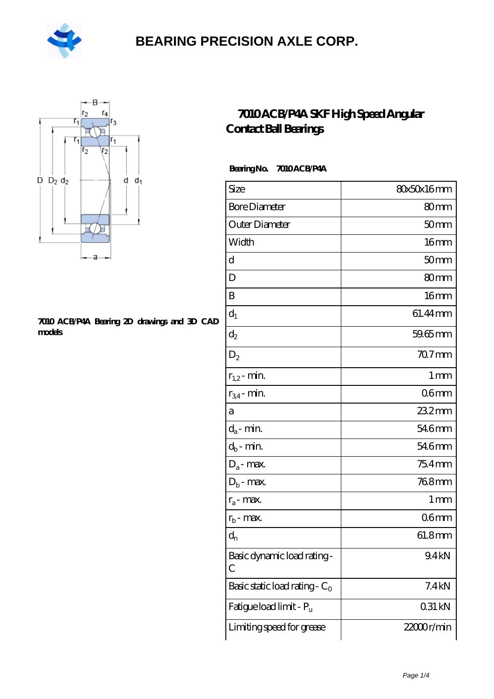



#### **[7010 ACB/P4A Bearing 2D drawings and 3D CAD](https://m.hilalanaokulu.com/pic-660575.html) [models](https://m.hilalanaokulu.com/pic-660575.html)**

### **[7010 ACB/P4A SKF High Speed Angular](https://m.hilalanaokulu.com/skf-bearings/7010-acb-p4a.html) [Contact Ball Bearings](https://m.hilalanaokulu.com/skf-bearings/7010-acb-p4a.html)**

### **Bearing No. 7010 ACB/P4A**

| Size                             | 80x50x16mm        |
|----------------------------------|-------------------|
| <b>Bore Diameter</b>             | 80mm              |
| Outer Diameter                   | 50 <sub>mm</sub>  |
| Width                            | 16 <sub>mm</sub>  |
| d                                | 50 <sub>mm</sub>  |
| D                                | 80 <sub>mm</sub>  |
| B                                | 16mm              |
| $d_1$                            | 61.44mm           |
| $\mathrm{d}_2$                   | $59.65$ mm        |
| $D_2$                            | 70.7 mm           |
| $r_{1,2}$ - min.                 | $1 \,\mathrm{mm}$ |
| $r_{34}$ - min.                  | 06 <sub>mm</sub>  |
| а                                | 23.2mm            |
| $d_a$ - min.                     | 546mm             |
| $d_b$ - min.                     | 546mm             |
| $D_a$ - max.                     | $754$ mm          |
| $D_b$ - max.                     | 768mm             |
| $r_a$ - max.                     | 1 mm              |
| $r_{\rm b}$ - max.               | 06 <sub>mm</sub>  |
| $d_n$                            | 61.8mm            |
| Basic dynamic load rating-<br>С  | 9.4kN             |
| Basic static load rating - $C_0$ | 7.4kN             |
| Fatigue load limit - Pu          | 031 kN            |
| Limiting speed for grease        | 22000r/min        |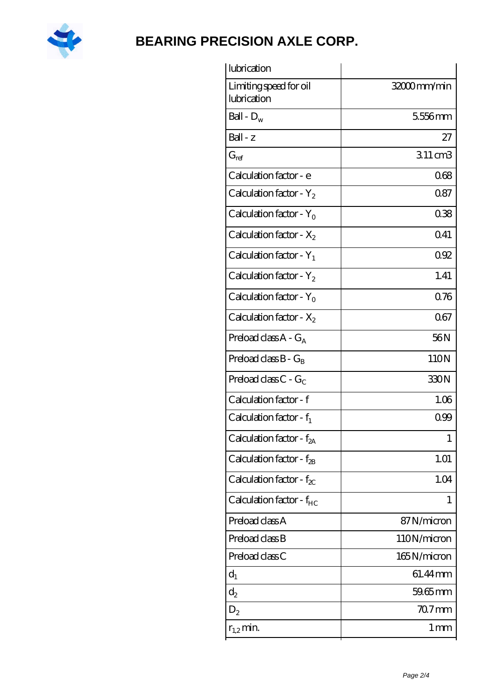

| lubrication                           |             |
|---------------------------------------|-------------|
| Limiting speed for oil<br>lubrication | 32000mm/min |
| Ball - $D_w$                          | 5556mm      |
| $Ball - z$                            | 27          |
| $G_{ref}$                             | 311 cm3     |
| Calculation factor - e                | 068         |
| Calculation factor - $Y_2$            | 087         |
| Calculation factor - $Y_0$            | 038         |
| Calculation factor - $X_2$            | Q41         |
| Calculation factor - $Y_1$            | 092         |
| Calculation factor - $Y_2$            | 1.41        |
| Calculation factor - $Y_0$            | 0.76        |
| Calculation factor - $X_2$            | 067         |
| Preload class $A - G_A$               | 56N         |
| Preload class $B - G_B$               | 110N        |
| Preload class $C - G_C$               | 330N        |
| Calculation factor - f                | 1.06        |
| Calculation factor - $f_1$            | 0.99        |
| Calculation factor - f <sub>2A</sub>  | 1           |
| Calculation factor - f <sub>2B</sub>  | 1.01        |
| Calculation factor - $f_{\chi}$       | 1.04        |
| Calculation factor - $f_{HC}$         | 1           |
| Preload class A                       | 87N/micron  |
| Preload class B                       | 110N/micron |
| Preload class C                       | 165N/micron |
| $d_1$                                 | 61.44 mm    |
| $d_2$                                 | $59.65$ mm  |
| $D_2$                                 | $707$ mm    |
| $r_{1,2}$ min.                        | 1 mm        |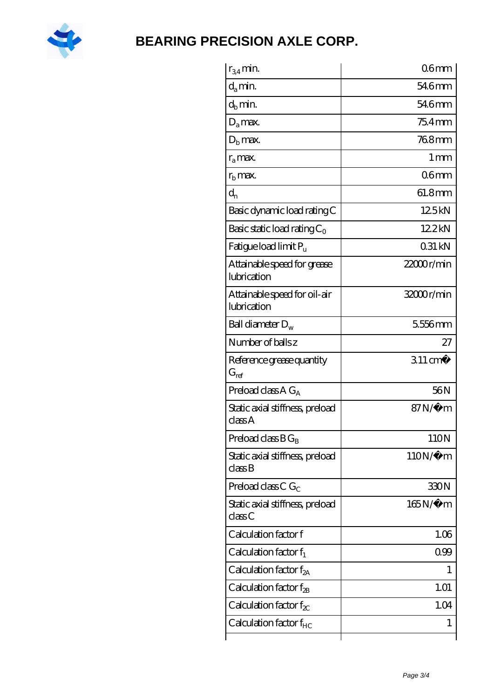

| $r_{34}$ min.                               | $06$ mm            |
|---------------------------------------------|--------------------|
| $d_{a}$ min.                                | 54.6mm             |
| $d_h$ min.                                  | 546mm              |
| $D_a$ max.                                  | $754$ mm           |
| $Db$ max.                                   | 768mm              |
| $r_a$ max.                                  | $1 \,\mathrm{mm}$  |
| $rb$ max.                                   | 06 <sub>mm</sub>   |
| $d_{n}$                                     | 61.8mm             |
| Basic dynamic load rating C                 | 125kN              |
| Basic static load rating $C_0$              | 12.2kN             |
| Fatigue load limit $P_{\rm u}$              | 0.31 kN            |
| Attainable speed for grease<br>lubrication  | 22000r/min         |
| Attainable speed for oil-air<br>lubrication | 32000r/min         |
| Ball diameter $D_w$                         | 5556mm             |
| Number of balls z                           | 27                 |
| Reference grease quantity<br>$G_{\rm ref}$  | $311 \text{ cm}^3$ |
| Preload class A $G_A$                       | 56N                |
| Static axial stiffness, preload<br>classA   | 87N/µ m            |
| Preload class $B G_B$                       | 110N               |
| Static axial stiffness, preload<br>classB   | $110N/\mu$ m       |
| Preload class C $G_C$                       | 330N               |
| Static axial stiffness, preload<br>classC   | $165N/\mu$ m       |
| Calculation factor f                        | 1.06               |
| Calculation factor $f_1$                    | 099                |
| Calculation factor $f_{2A}$                 | 1                  |
| Calculation factor $f_{\rm 2B}$             | 1.01               |
| Calculation factor $f_{\chi}$               | 1.04               |
| Calculation factor $f_{HC}$                 | 1                  |
|                                             |                    |